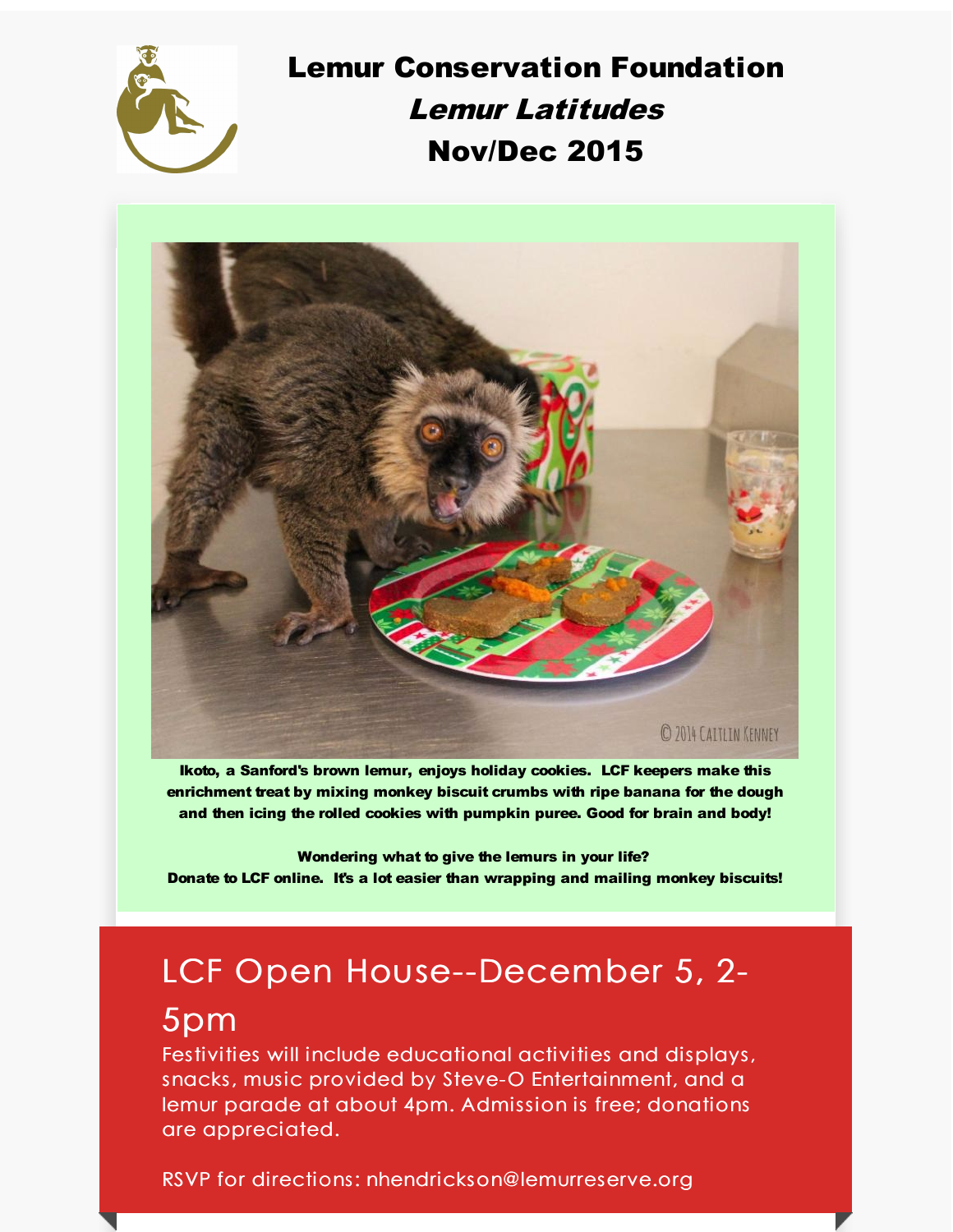

Lemur Conservation Foundation Lemur Latitudes Nov/Dec 2015



Ikoto, a Sanford's brown lemur, enjoys holiday cookies. LCF keepers make this enrichment treat by mixing monkey biscuit crumbs with ripe banana for the dough and then icing the rolled cookies with pumpkin puree. Good for brain and body!

Wondering what to give the lemurs in your life? Donate to LCF online. It's a lot easier than wrapping and mailing monkey biscuits!

# LCF Open House--December 5, 2-

## 5pm

Festivities will include educational activities and displays, snacks, music provided by Steve-O Entertainment, and a lemur parade at about 4pm. Admission is free; donations are appreciated.

RSVP for directions: nhendrickson@lemurreserve.org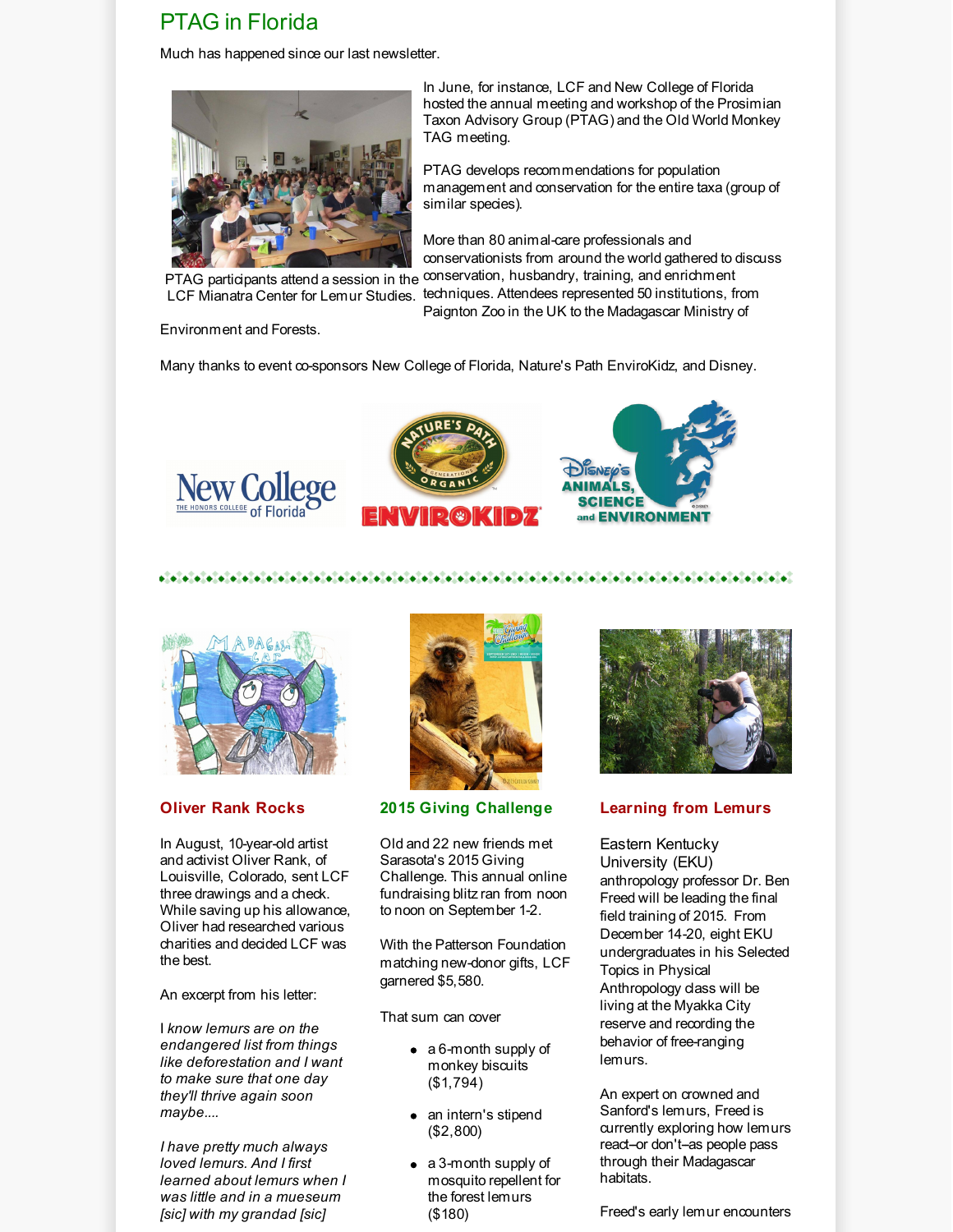### PTAG in Florida

Much has happened since our last newsletter.



LCF Mianatra Center for Lemur Studies.

Environment and Forests.

In June, for instance, LCF and New College of Florida hosted the annual meeting and workshop of the Prosimian Taxon Advisory Group (PTAG) and the Old World Monkey TAG meeting.

PTAG develops recommendations for population management and conservation for the entire taxa (group of similar species).

PTAG participants attend a session in the <sup>conservation, husbandry, training, and enrichment</sup> More than 80 animal-care professionals and conservationists from around the world gathered to discuss techniques. Attendees represented 50 institutions, from

Paignton Zoo in the UK to the Madagascar Ministry of

Many thanks to event co-sponsors New College of Florida, Nature's Path EnviroKidz, and Disney.







#### 



#### **Oliver Rank Rocks**

In August, 10-year-old artist and activist Oliver Rank, of Louisville, Colorado, sent LCF three drawings and a check. While saving up his allowance, Oliver had researched various charities and decided LCF was the best.

An excerpt from his letter:

I *know lemurs are on the endangered list from things like deforestation and I want to make sure that one day they'll thrive again soon maybe....*

*I have pretty much always loved lemurs. And I first learned about lemurs when I was little and in a mueseum [sic] with my grandad [sic]*



#### **2015 Giving Challenge**

Old and 22 new friends met Sarasota's 2015 Giving Challenge. This annual online fundraising blitz ran from noon to noon on September 1-2.

With the Patterson Foundation matching new-donor gifts, LCF garnered \$5,580.

That sum can cover

- a 6-month supply of monkey biscuits (\$1,794)
- an intern's stipend (\$2,800)
- a 3-month supply of mosquito repellent for the forest lemurs (\$180)



#### **Learning from Lemurs**

Eastern Kentucky University (EKU) anthropology professor Dr. Ben Freed will be leading the final field training of 2015. From December 14-20, eight EKU undergraduates in his Selected Topics in Physical Anthropology class will be living at the Myakka City reserve and recording the behavior of free-ranging lemurs.

An expert on crowned and Sanford's lemurs, Freed is currently exploring how lemurs react-or don't-as people pass through their Madagascar habitats.

Freed's early lemur encounters